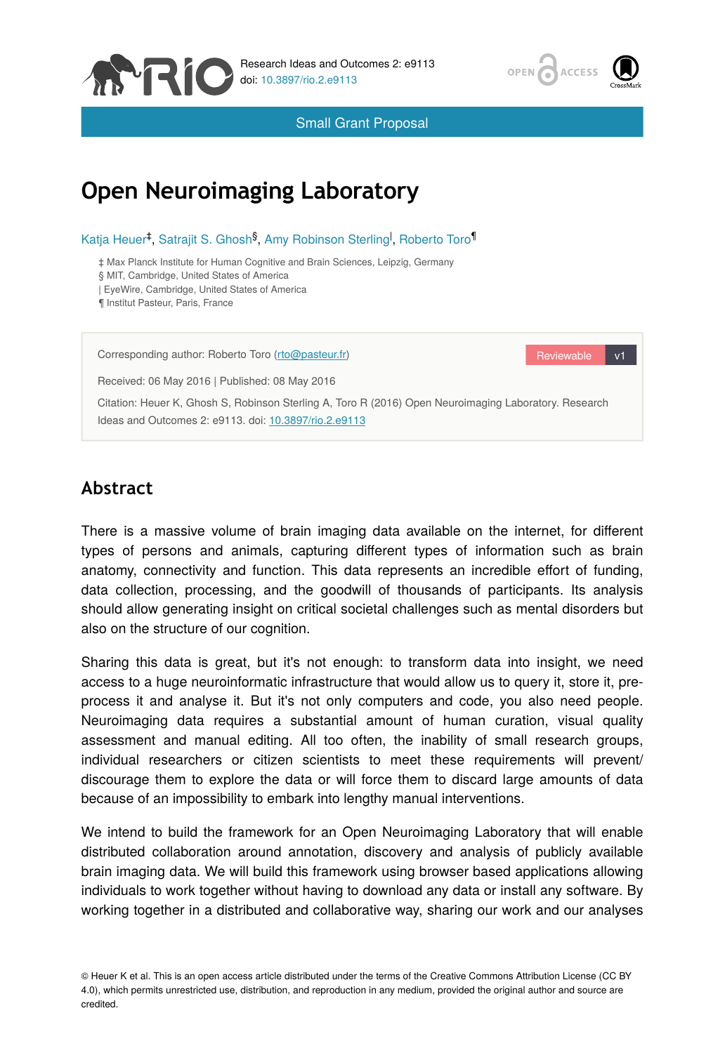



Small Grant Proposal

# **Open Neuroimaging Laboratory**

Katja Heuer<sup>‡</sup>, Satrajit S. Ghosh<sup>§</sup>, Amy Robinson Sterling<sup>l</sup>, Roberto Toro<sup>1</sup>

‡ Max Planck Institute for Human Cognitive and Brain Sciences, Leipzig, Germany

§ MIT, Cambridge, United States of America

| EyeWire, Cambridge, United States of America

¶ Institut Pasteur, Paris, France

Corresponding author: Roberto Toro [\(rto@pasteur.fr](mailto:rto@pasteur.fr?subject=Your%20manuscript%20in%20PWT%20#5627/Research%20Ideas%20and%20Outcomes%20#9113))

Received: 06 May 2016 | Published: 08 May 2016

Reviewable v1

Citation: Heuer K, Ghosh S, Robinson Sterling A, Toro R (2016) Open Neuroimaging Laboratory. Research Ideas and Outcomes 2: e9113. doi: [10.3897/rio.2.e9113](http://dx.doi.org/10.3897/rio.2.e9113)

## **Abstract**

There is a massive volume of brain imaging data available on the internet, for different types of persons and animals, capturing different types of information such as brain anatomy, connectivity and function. This data represents an incredible effort of funding, data collection, processing, and the goodwill of thousands of participants. Its analysis should allow generating insight on critical societal challenges such as mental disorders but also on the structure of our cognition.

Sharing this data is great, but it's not enough: to transform data into insight, we need access to a huge neuroinformatic infrastructure that would allow us to query it, store it, preprocess it and analyse it. But it's not only computers and code, you also need people. Neuroimaging data requires a substantial amount of human curation, visual quality assessment and manual editing. All too often, the inability of small research groups, individual researchers or citizen scientists to meet these requirements will prevent/ discourage them to explore the data or will force them to discard large amounts of data because of an impossibility to embark into lengthy manual interventions.

We intend to build the framework for an Open Neuroimaging Laboratory that will enable distributed collaboration around annotation, discovery and analysis of publicly available brain imaging data. We will build this framework using browser based applications allowing individuals to work together without having to download any data or install any software. By working together in a distributed and collaborative way, sharing our work and our analyses

© Heuer K et al. This is an open access article distributed under the terms of the Creative Commons Attribution License (CC BY 4.0), which permits unrestricted use, distribution, and reproduction in any medium, provided the original author and source are credited.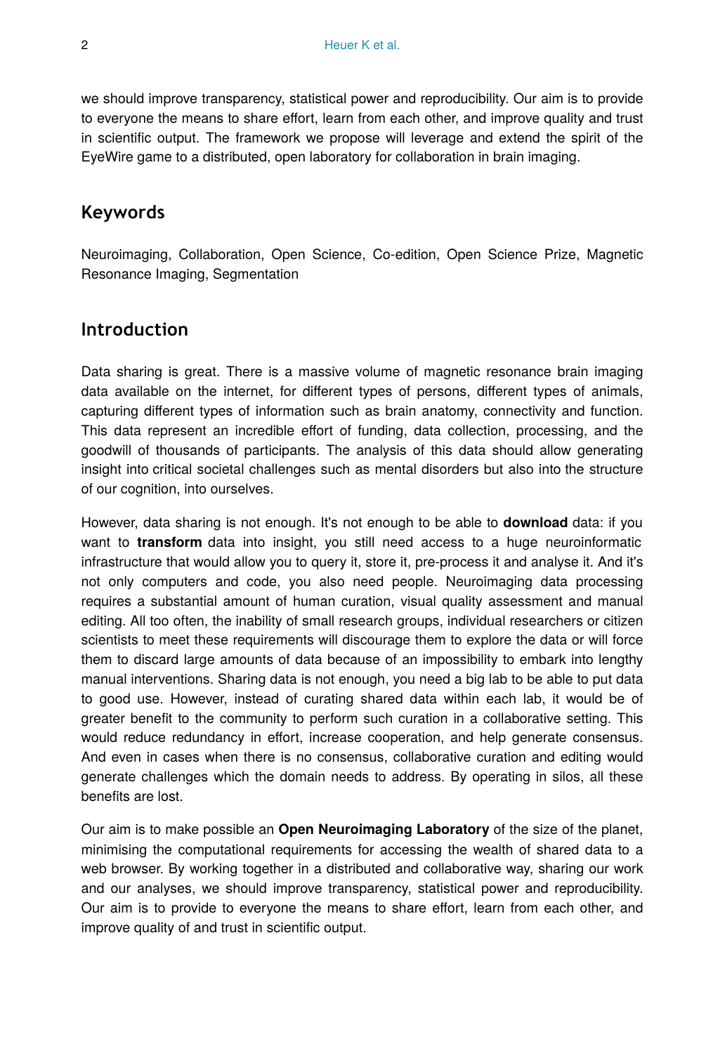we should improve transparency, statistical power and reproducibility. Our aim is to provide to everyone the means to share effort, learn from each other, and improve quality and trust in scientific output. The framework we propose will leverage and extend the spirit of the EyeWire game to a distributed, open laboratory for collaboration in brain imaging.

## **Keywords**

Neuroimaging, Collaboration, Open Science, Co-edition, Open Science Prize, Magnetic Resonance Imaging, Segmentation

## **Introduction**

Data sharing is great. There is a massive volume of magnetic resonance brain imaging data available on the internet, for different types of persons, different types of animals, capturing different types of information such as brain anatomy, connectivity and function. This data represent an incredible effort of funding, data collection, processing, and the goodwill of thousands of participants. The analysis of this data should allow generating insight into critical societal challenges such as mental disorders but also into the structure of our cognition, into ourselves.

However, data sharing is not enough. It's not enough to be able to **download** data: if you want to **transform** data into insight, you still need access to a huge neuroinformatic infrastructure that would allow you to query it, store it, pre-process it and analyse it. And it's not only computers and code, you also need people. Neuroimaging data processing requires a substantial amount of human curation, visual quality assessment and manual editing. All too often, the inability of small research groups, individual researchers or citizen scientists to meet these requirements will discourage them to explore the data or will force them to discard large amounts of data because of an impossibility to embark into lengthy manual interventions. Sharing data is not enough, you need a big lab to be able to put data to good use. However, instead of curating shared data within each lab, it would be of greater benefit to the community to perform such curation in a collaborative setting. This would reduce redundancy in effort, increase cooperation, and help generate consensus. And even in cases when there is no consensus, collaborative curation and editing would generate challenges which the domain needs to address. By operating in silos, all these benefits are lost.

Our aim is to make possible an **Open Neuroimaging Laboratory** of the size of the planet, minimising the computational requirements for accessing the wealth of shared data to a web browser. By working together in a distributed and collaborative way, sharing our work and our analyses, we should improve transparency, statistical power and reproducibility. Our aim is to provide to everyone the means to share effort, learn from each other, and improve quality of and trust in scientific output.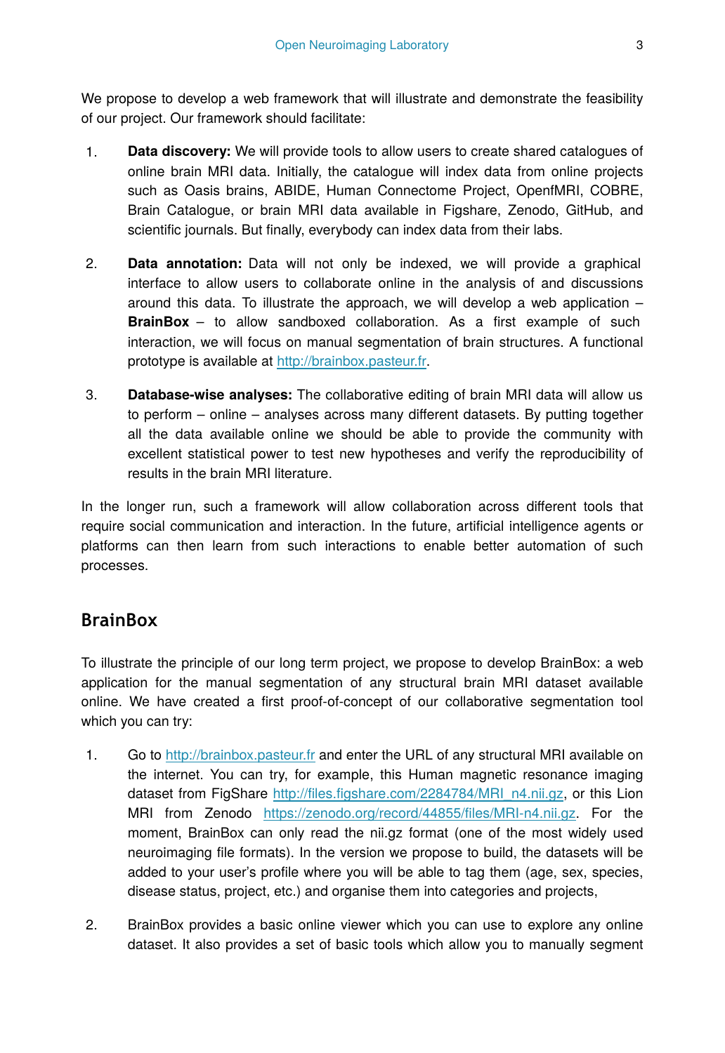We propose to develop a web framework that will illustrate and demonstrate the feasibility of our project. Our framework should facilitate:

- 1. **Data discovery:** We will provide tools to allow users to create shared catalogues of online brain MRI data. Initially, the catalogue will index data from online projects such as Oasis brains, ABIDE, Human Connectome Project, OpenfMRI, COBRE, Brain Catalogue, or brain MRI data available in Figshare, Zenodo, GitHub, and scientific journals. But finally, everybody can index data from their labs.
- 2. **Data annotation:** Data will not only be indexed, we will provide a graphical interface to allow users to collaborate online in the analysis of and discussions around this data. To illustrate the approach, we will develop a web application – **BrainBox** – to allow sandboxed collaboration. As a first example of such interaction, we will focus on manual segmentation of brain structures. A functional prototype is available at <http://brainbox.pasteur.fr>.
- 3. **Database-wise analyses:** The collaborative editing of brain MRI data will allow us to perform – online – analyses across many different datasets. By putting together all the data available online we should be able to provide the community with excellent statistical power to test new hypotheses and verify the reproducibility of results in the brain MRI literature.

In the longer run, such a framework will allow collaboration across different tools that require social communication and interaction. In the future, artificial intelligence agents or platforms can then learn from such interactions to enable better automation of such processes.

## **BrainBox**

To illustrate the principle of our long term project, we propose to develop BrainBox: a web application for the manual segmentation of any structural brain MRI dataset available online. We have created a first proof-of-concept of our collaborative segmentation tool which you can try:

- 1. Go to <http://brainbox.pasteur.fr> and enter the URL of any structural MRI available on the internet. You can try, for example, this Human magnetic resonance imaging dataset from FigShare http://files.fi[gshare.com/2284784/MRI\\_n4.nii.gz,](http://files.figshare.com/2284784/MRI_n4.nii.gz) or this Lion MRI from Zenodo [https://zenodo.org/record/44855/](https://zenodo.org/record/44855/files/MRI-n4.nii.gz)files/MRI-n4.nii.gz. For the moment, BrainBox can only read the nii.gz format (one of the most widely used neuroimaging file formats). In the version we propose to build, the datasets will be added to your user's profile where you will be able to tag them (age, sex, species, disease status, project, etc.) and organise them into categories and projects,
- 2. BrainBox provides a basic online viewer which you can use to explore any online dataset. It also provides a set of basic tools which allow you to manually segment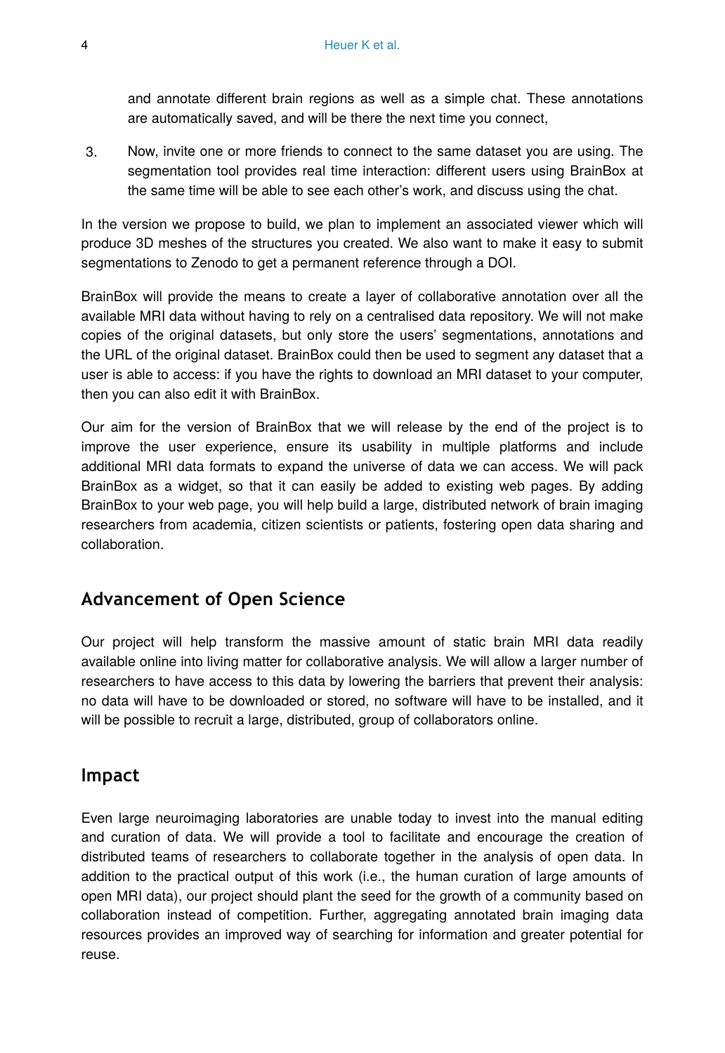and annotate different brain regions as well as a simple chat. These annotations are automatically saved, and will be there the next time you connect,

3. Now, invite one or more friends to connect to the same dataset you are using. The segmentation tool provides real time interaction: different users using BrainBox at the same time will be able to see each other's work, and discuss using the chat.

In the version we propose to build, we plan to implement an associated viewer which will produce 3D meshes of the structures you created. We also want to make it easy to submit segmentations to Zenodo to get a permanent reference through a DOI.

BrainBox will provide the means to create a layer of collaborative annotation over all the available MRI data without having to rely on a centralised data repository. We will not make copies of the original datasets, but only store the users' segmentations, annotations and the URL of the original dataset. BrainBox could then be used to segment any dataset that a user is able to access: if you have the rights to download an MRI dataset to your computer, then you can also edit it with BrainBox.

Our aim for the version of BrainBox that we will release by the end of the project is to improve the user experience, ensure its usability in multiple platforms and include additional MRI data formats to expand the universe of data we can access. We will pack BrainBox as a widget, so that it can easily be added to existing web pages. By adding BrainBox to your web page, you will help build a large, distributed network of brain imaging researchers from academia, citizen scientists or patients, fostering open data sharing and collaboration.

#### **Advancement of Open Science**

Our project will help transform the massive amount of static brain MRI data readily available online into living matter for collaborative analysis. We will allow a larger number of researchers to have access to this data by lowering the barriers that prevent their analysis: no data will have to be downloaded or stored, no software will have to be installed, and it will be possible to recruit a large, distributed, group of collaborators online.

#### **Impact**

Even large neuroimaging laboratories are unable today to invest into the manual editing and curation of data. We will provide a tool to facilitate and encourage the creation of distributed teams of researchers to collaborate together in the analysis of open data. In addition to the practical output of this work (i.e., the human curation of large amounts of open MRI data), our project should plant the seed for the growth of a community based on collaboration instead of competition. Further, aggregating annotated brain imaging data resources provides an improved way of searching for information and greater potential for reuse.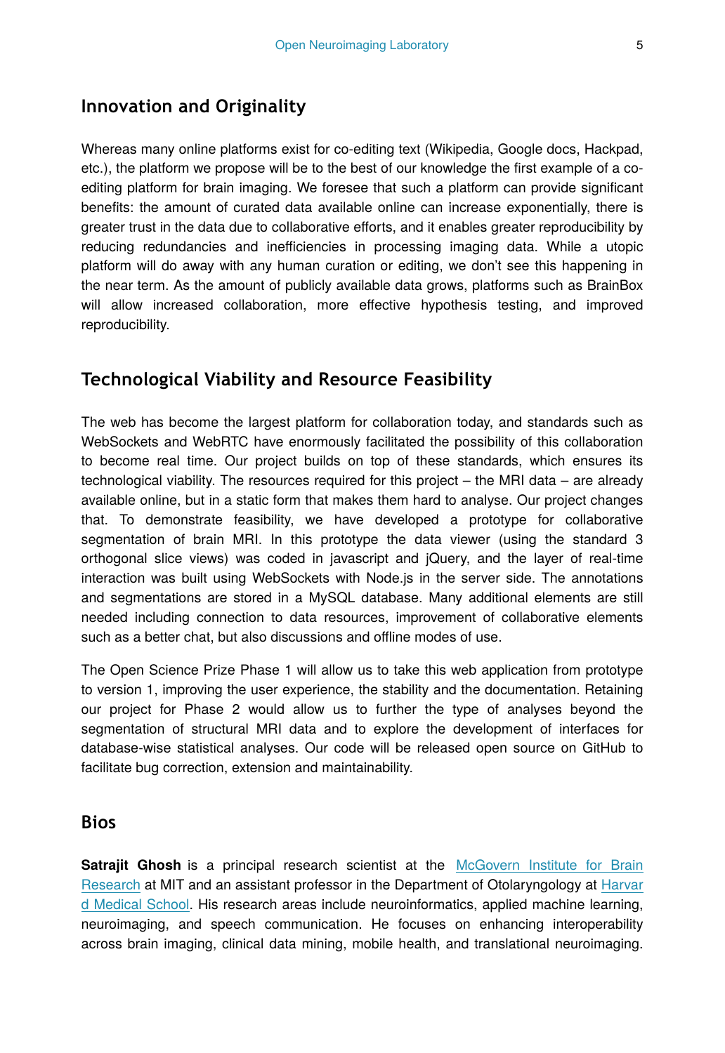#### **Innovation and Originality**

Whereas many online platforms exist for co-editing text (Wikipedia, Google docs, Hackpad, etc.), the platform we propose will be to the best of our knowledge the first example of a coediting platform for brain imaging. We foresee that such a platform can provide significant benefits: the amount of curated data available online can increase exponentially, there is greater trust in the data due to collaborative efforts, and it enables greater reproducibility by reducing redundancies and inefficiencies in processing imaging data. While a utopic platform will do away with any human curation or editing, we don't see this happening in the near term. As the amount of publicly available data grows, platforms such as BrainBox will allow increased collaboration, more effective hypothesis testing, and improved reproducibility.

## **Technological Viability and Resource Feasibility**

The web has become the largest platform for collaboration today, and standards such as WebSockets and WebRTC have enormously facilitated the possibility of this collaboration to become real time. Our project builds on top of these standards, which ensures its technological viability. The resources required for this project – the MRI data – are already available online, but in a static form that makes them hard to analyse. Our project changes that. To demonstrate feasibility, we have developed a prototype for collaborative segmentation of brain MRI. In this prototype the data viewer (using the standard 3 orthogonal slice views) was coded in javascript and jQuery, and the layer of real-time interaction was built using WebSockets with Node.js in the server side. The annotations and segmentations are stored in a MySQL database. Many additional elements are still needed including connection to data resources, improvement of collaborative elements such as a better chat, but also discussions and offline modes of use.

The Open Science Prize Phase 1 will allow us to take this web application from prototype to version 1, improving the user experience, the stability and the documentation. Retaining our project for Phase 2 would allow us to further the type of analyses beyond the segmentation of structural MRI data and to explore the development of interfaces for database-wise statistical analyses. Our code will be released open source on GitHub to facilitate bug correction, extension and maintainability.

#### **Bios**

**Satrajit Ghosh** is a principal research scientist at the [McGovern Institute for Brain](http://mcgovern.mit.edu/) [Research](http://mcgovern.mit.edu/) at MIT and an assistant professor in the Department of Otolaryngology at [Harvar](http://www.hms.harvard.edu/) [d Medical School](http://www.hms.harvard.edu/). His research areas include neuroinformatics, applied machine learning, neuroimaging, and speech communication. He focuses on enhancing interoperability across brain imaging, clinical data mining, mobile health, and translational neuroimaging.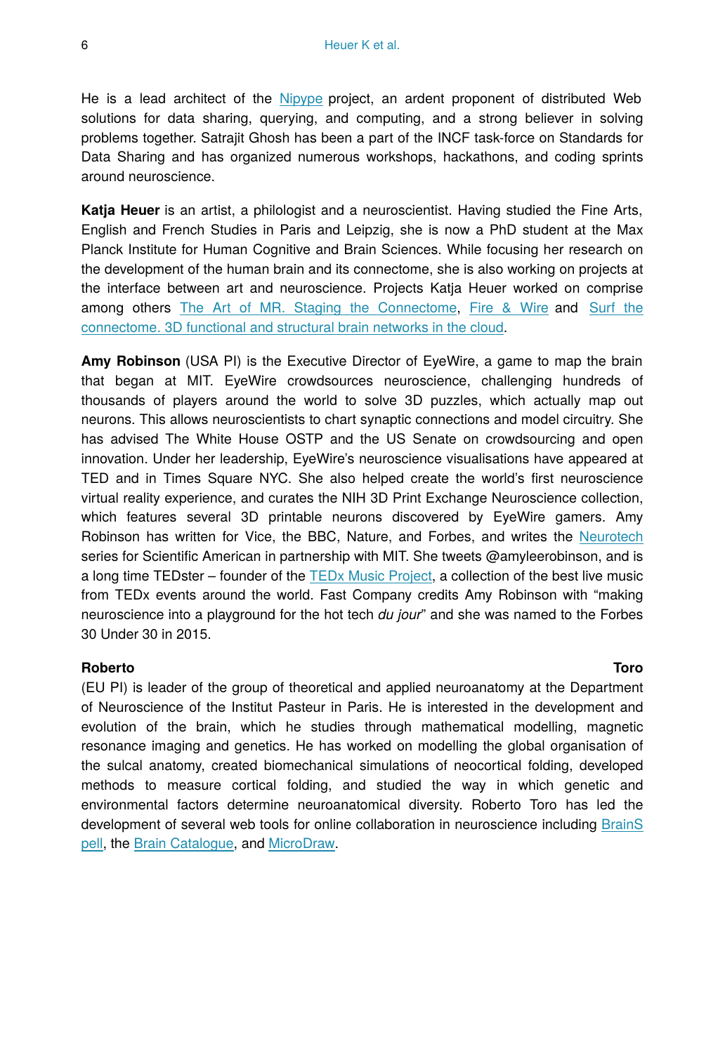He is a lead architect of the [Nipype](http://nipy.org/nipype) project, an ardent proponent of distributed Web solutions for data sharing, querying, and computing, and a strong believer in solving problems together. Satrajit Ghosh has been a part of the INCF task-force on Standards for Data Sharing and has organized numerous workshops, hackathons, and coding sprints around neuroscience.

**Katja Heuer** is an artist, a philologist and a neuroscientist. Having studied the Fine Arts, English and French Studies in Paris and Leipzig, she is now a PhD student at the Max Planck Institute for Human Cognitive and Brain Sciences. While focusing her research on the development of the human brain and its connectome, she is also working on projects at the interface between art and neuroscience. Projects Katja Heuer worked on comprise among others [The Art of MR. Staging the Connectome](https://youtu.be/LtsBZlw5nQI), [Fire & Wire](https://www.youtube.com/watch?v=jtwKYvI8tVQ) and [Surf the](http://openscience.cbs.mpg.de/brainnetworks/) [connectome. 3D functional and structural brain networks in the cloud](http://openscience.cbs.mpg.de/brainnetworks/).

**Amy Robinson** (USA PI) is the Executive Director of EyeWire, a game to map the brain that began at MIT. EyeWire crowdsources neuroscience, challenging hundreds of thousands of players around the world to solve 3D puzzles, which actually map out neurons. This allows neuroscientists to chart synaptic connections and model circuitry. She has advised The White House OSTP and the US Senate on crowdsourcing and open innovation. Under her leadership, EyeWire's neuroscience visualisations have appeared at TED and in Times Square NYC. She also helped create the world's first neuroscience virtual reality experience, and curates the NIH 3D Print Exchange Neuroscience collection, which features several 3D printable neurons discovered by EyeWire gamers. Amy Robinson has written for Vice, the BBC, Nature, and Forbes, and writes the [Neurotech](http://blogs.scientificamerican.com/expeditions/2014/09/18/journey-through-the-brain-mit-neurotech/) series for Scientific American in partnership with MIT. She tweets @amyleerobinson, and is a long time TEDster – founder of the [TEDx Music Project,](http://t.signauxcinq.com/link?url=http%3A%2F%2Fsoundcloud.com%2Ftedxglobalmusicproject&ukey=agxzfnNpZ25hbHNjcnhyGAsSC1VzZXJQcm9maWxlGICAgKzq9rwIDA&k=12aa3814-4d41-4c38-f67c-7933570b6348) a collection of the best live music from TEDx events around the world. Fast Company credits Amy Robinson with "making neuroscience into a playground for the hot tech *du jour*" and she was named to the Forbes 30 Under 30 in 2015.

#### **Roberto Toro**

(EU PI) is leader of the group of theoretical and applied neuroanatomy at the Department of Neuroscience of the Institut Pasteur in Paris. He is interested in the development and evolution of the brain, which he studies through mathematical modelling, magnetic resonance imaging and genetics. He has worked on modelling the global organisation of the sulcal anatomy, created biomechanical simulations of neocortical folding, developed methods to measure cortical folding, and studied the way in which genetic and environmental factors determine neuroanatomical diversity. Roberto Toro has led the development of several web tools for online collaboration in neuroscience including [BrainS](http://brainspell.org/) [pell](http://brainspell.org/), the [Brain Catalogue,](http://braincatalogue.org/) and [MicroDraw](http://microdraw.pasteur.fr/).